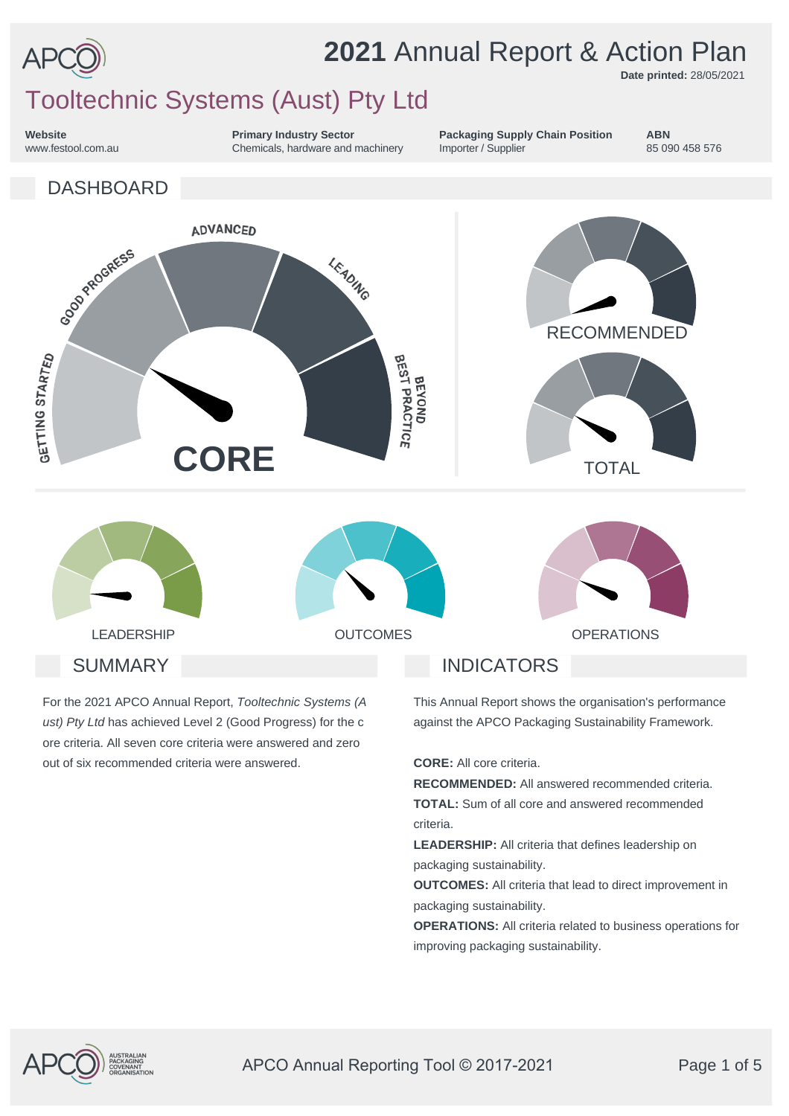

# **2021** Annual Report & Action Plan

**Date printed:** 28/05/2021

# Tooltechnic Systems (Aust) Pty Ltd

**Website** www.festool.com.au **Primary Industry Sector** Chemicals, hardware and machinery **Packaging Supply Chain Position** Importer / Supplier

**ABN** 85 090 458 576



For the 2021 APCO Annual Report, *Tooltechnic Systems (A ust) Pty Ltd* has achieved Level 2 (Good Progress) for the c ore criteria. All seven core criteria were answered and zero out of six recommended criteria were answered.

This Annual Report shows the organisation's performance

against the APCO Packaging Sustainability Framework.

**CORE:** All core criteria.

**RECOMMENDED:** All answered recommended criteria. **TOTAL:** Sum of all core and answered recommended criteria.

**LEADERSHIP:** All criteria that defines leadership on packaging sustainability.

**OUTCOMES:** All criteria that lead to direct improvement in packaging sustainability.

**OPERATIONS:** All criteria related to business operations for improving packaging sustainability.



APCO Annual Reporting Tool © 2017-2021 Page 1 of 5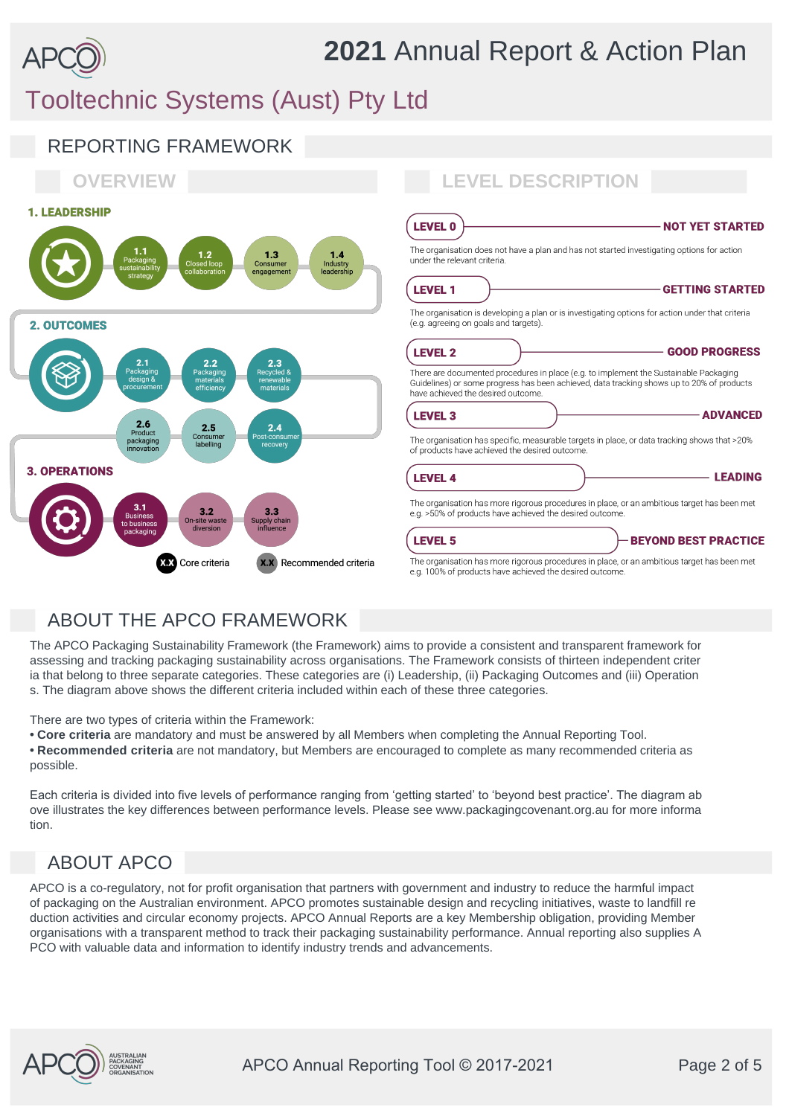# **2021** Annual Report & Action Plan

# Tooltechnic Systems (Aust) Pty Ltd



## ABOUT THE APCO FRAMEWORK

The APCO Packaging Sustainability Framework (the Framework) aims to provide a consistent and transparent framework for assessing and tracking packaging sustainability across organisations. The Framework consists of thirteen independent criter ia that belong to three separate categories. These categories are (i) Leadership, (ii) Packaging Outcomes and (iii) Operation s. The diagram above shows the different criteria included within each of these three categories.

There are two types of criteria within the Framework:

**• Core criteria** are mandatory and must be answered by all Members when completing the Annual Reporting Tool. **• Recommended criteria** are not mandatory, but Members are encouraged to complete as many recommended criteria as possible.

Each criteria is divided into five levels of performance ranging from 'getting started' to 'beyond best practice'. The diagram ab ove illustrates the key differences between performance levels. Please see www.packagingcovenant.org.au for more informa tion.

## ABOUT APCO

APCO is a co-regulatory, not for profit organisation that partners with government and industry to reduce the harmful impact of packaging on the Australian environment. APCO promotes sustainable design and recycling initiatives, waste to landfill re duction activities and circular economy projects. APCO Annual Reports are a key Membership obligation, providing Member organisations with a transparent method to track their packaging sustainability performance. Annual reporting also supplies A PCO with valuable data and information to identify industry trends and advancements.

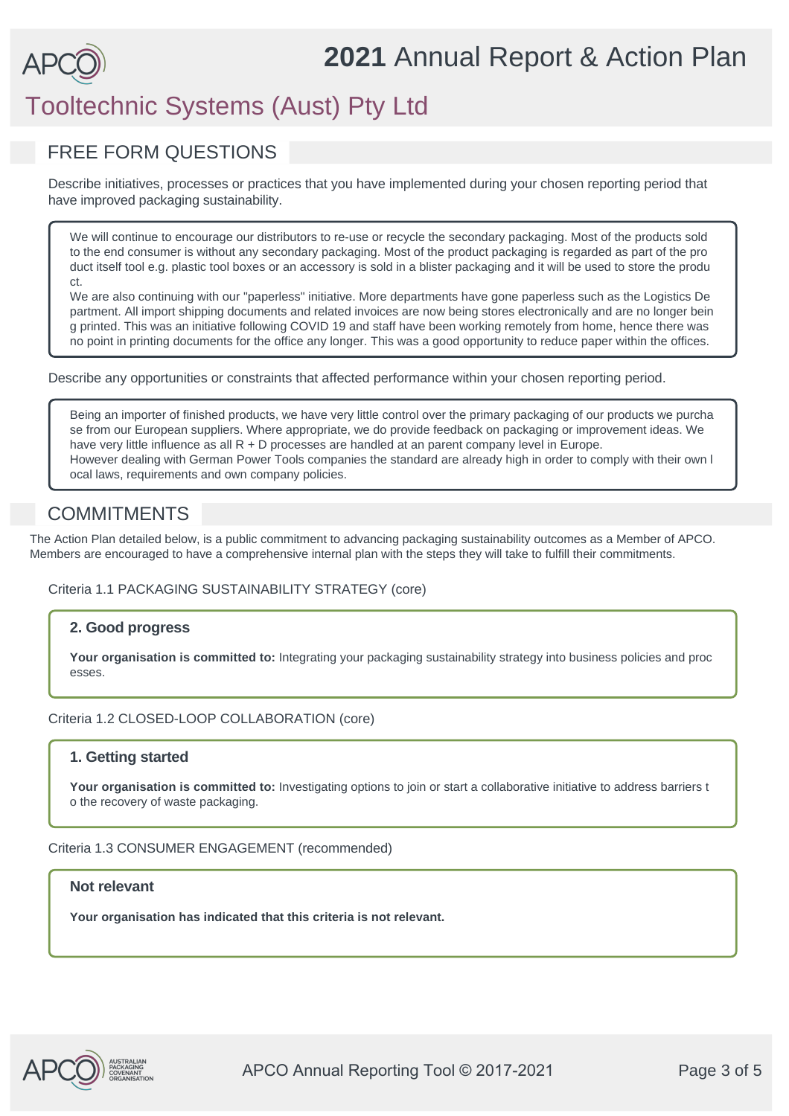# **2021** Annual Report & Action Plan

# Tooltechnic Systems (Aust) Pty Ltd

### FREE FORM QUESTIONS

Describe initiatives, processes or practices that you have implemented during your chosen reporting period that have improved packaging sustainability.

We will continue to encourage our distributors to re-use or recycle the secondary packaging. Most of the products sold to the end consumer is without any secondary packaging. Most of the product packaging is regarded as part of the pro duct itself tool e.g. plastic tool boxes or an accessory is sold in a blister packaging and it will be used to store the produ ct.

We are also continuing with our "paperless" initiative. More departments have gone paperless such as the Logistics De partment. All import shipping documents and related invoices are now being stores electronically and are no longer bein g printed. This was an initiative following COVID 19 and staff have been working remotely from home, hence there was no point in printing documents for the office any longer. This was a good opportunity to reduce paper within the offices.

Describe any opportunities or constraints that affected performance within your chosen reporting period.

Being an importer of finished products, we have very little control over the primary packaging of our products we purcha se from our European suppliers. Where appropriate, we do provide feedback on packaging or improvement ideas. We have very little influence as all R + D processes are handled at an parent company level in Europe. However dealing with German Power Tools companies the standard are already high in order to comply with their own l ocal laws, requirements and own company policies.

### **COMMITMENTS**

The Action Plan detailed below, is a public commitment to advancing packaging sustainability outcomes as a Member of APCO. Members are encouraged to have a comprehensive internal plan with the steps they will take to fulfill their commitments.

#### Criteria 1.1 PACKAGING SUSTAINABILITY STRATEGY (core)

### **2. Good progress**

**Your organisation is committed to:** Integrating your packaging sustainability strategy into business policies and proc esses.

#### Criteria 1.2 CLOSED-LOOP COLLABORATION (core)

#### **1. Getting started**

Your organisation is committed to: Investigating options to join or start a collaborative initiative to address barriers t o the recovery of waste packaging.

Criteria 1.3 CONSUMER ENGAGEMENT (recommended)

#### **Not relevant**

**Your organisation has indicated that this criteria is not relevant.**

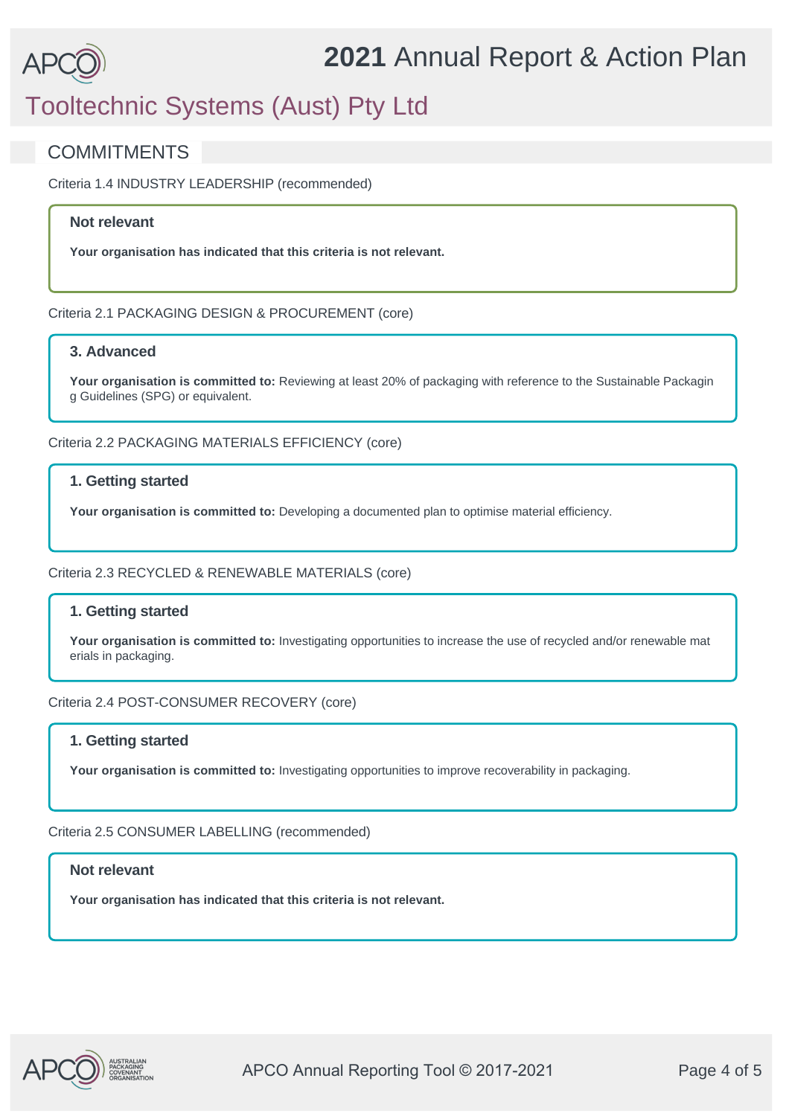# Tooltechnic Systems (Aust) Pty Ltd

### **COMMITMENTS**

Criteria 1.4 INDUSTRY LEADERSHIP (recommended)

### **Not relevant**

**Your organisation has indicated that this criteria is not relevant.**

Criteria 2.1 PACKAGING DESIGN & PROCUREMENT (core)

### **3. Advanced**

Your organisation is committed to: Reviewing at least 20% of packaging with reference to the Sustainable Packagin g Guidelines (SPG) or equivalent.

Criteria 2.2 PACKAGING MATERIALS EFFICIENCY (core)

#### **1. Getting started**

**Your organisation is committed to:** Developing a documented plan to optimise material efficiency.

#### Criteria 2.3 RECYCLED & RENEWABLE MATERIALS (core)

### **1. Getting started**

**Your organisation is committed to:** Investigating opportunities to increase the use of recycled and/or renewable mat erials in packaging.

#### Criteria 2.4 POST-CONSUMER RECOVERY (core)

### **1. Getting started**

**Your organisation is committed to:** Investigating opportunities to improve recoverability in packaging.

Criteria 2.5 CONSUMER LABELLING (recommended)

#### **Not relevant**

**Your organisation has indicated that this criteria is not relevant.**